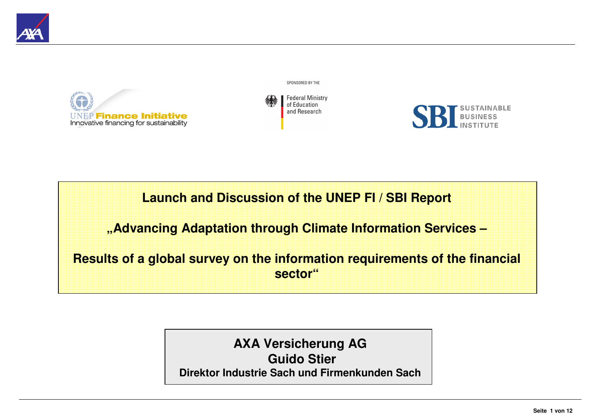

**Finance Initiative** Innovative financing for sustainability SPONSORED BY THE





**Launch and Discussion of the UNEP FI / SBI Report**

**"Advancing Adaptation through Climate Information Services –**

**Results of a global survey on the information requirements of the financial sector"**

> **AXA Versicherung AGGuido StierDirektor Industrie Sach und Firmenkunden Sach**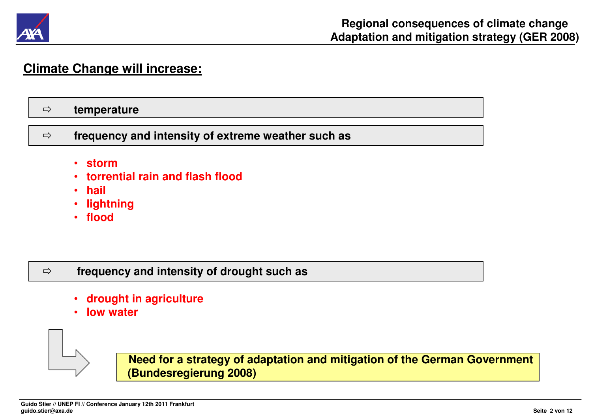

# **Climate Change will increase:**

#### $\Rightarrow$ **temperature**

 $\Rightarrow$ **frequency and intensity of extreme weather such as**

- •**storm**
- **torrential rain and flash flood**•
- •**hail**
- •**lightning**
- **flood**

#### $\Rightarrow$ **frequency and intensity of drought such as**

- •**drought in agriculture**
- •**low water**



**Need for a strategy of adaptation and mitigation of the German Government(Bundesregierung 2008)**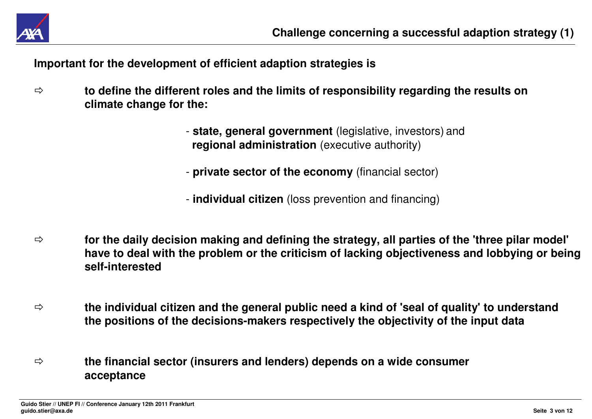

**Important for the development of efficient adaption strategies is**

- $\Rightarrow$  **to define the different roles and the limits of responsibility regarding the results on climate change for the:**
	- **state, general government** (legislative, investors) and **regional administration** (executive authority)
	- **private sector of the economy** (financial sector)
	- **individual citizen** (loss prevention and financing)
- $\Rightarrow$  **for the daily decision making and defining the strategy, all parties of the 'three pilar model' have to deal with the problem or the criticism of lacking objectiveness and lobbying or beingself-interested**
- $\Rightarrow$  **the individual citizen and the general public need a kind of 'seal of quality' to understand the positions of the decisions-makers respectively the objectivity of the input data**
- ⇨ **the financial sector (insurers and lenders) depends on a wide consumer acceptance**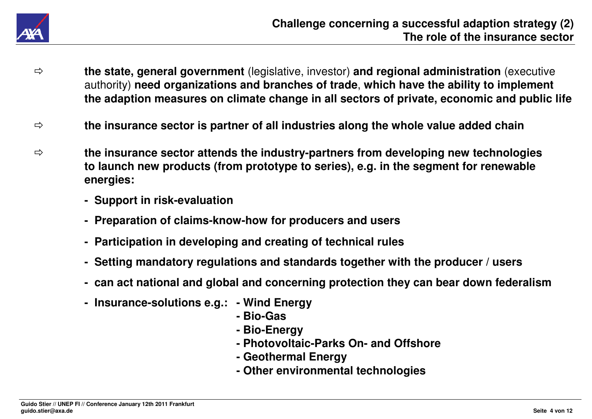

- $\Rightarrow$  **the state, general government** (legislative, investor) **and regional administration** (executive authority) **need organizations and branches of trade**, **which have the ability to implement the adaption measures on climate change in all sectors of private, economic and public life**
- $\Rightarrow$ **the insurance sector is partner of all industries along the whole value added chain**
- $\Rightarrow$  **the insurance sector attends the industry-partners from developing new technologies to launch new products (from prototype to series), e.g. in the segment for renewable energies:**
	- **- Support in risk-evaluation**
	- **- Preparation of claims-know-how for producers and users**
	- **- Participation in developing and creating of technical rules**
	- **- Setting mandatory regulations and standards together with the producer / users**
	- **- can act national and global and concerning protection they can bear down federalism**
	- **- Insurance-solutions e.g.: - Wind Energy**
		- **- Bio-Gas**
		- **- Bio-Energy**
		- **- Photovoltaic-Parks On- and Offshore**
		- **- Geothermal Energy**
		- **- Other environmental technologies**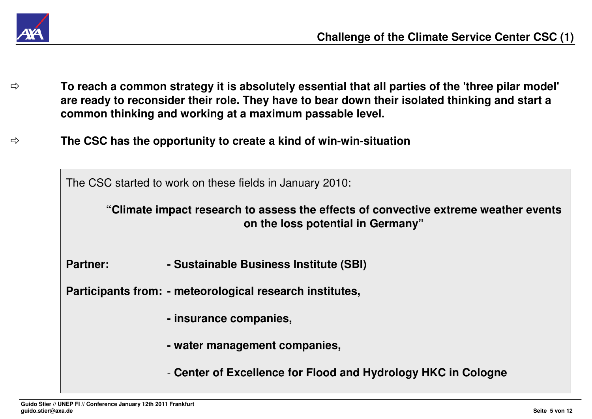

- $\Rightarrow$  **To reach a common strategy it is absolutely essential that all parties of the 'three pilar model' are ready to reconsider their role. They have to bear down their isolated thinking and start a common thinking and working at a maximum passable level.**
- $\Rightarrow$ **The CSC has the opportunity to create a kind of win-win-situation**

The CSC started to work on these fields in January 2010:

**"Climate impact research to assess the effects of convective extreme weather events on the loss potential in Germany"**

**Partner: - Sustainable Business Institute (SBI)**

**Participants from: - meteorological research institutes,**

- **- insurance companies,**
- **- water management companies,**
- **Center of Excellence for Flood and Hydrology HKC in Cologne**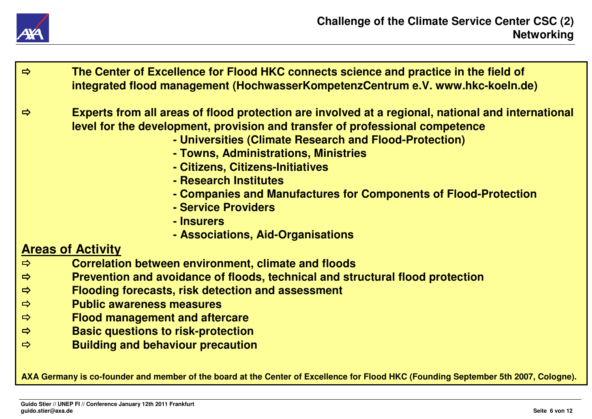

- $\Rightarrow$  **The Center of Excellence for Flood HKC connects science and practice in the field of integrated flood management (HochwasserKompetenzCentrum e.V. www.hkc-koeln.de)** $\Rightarrow$  **Experts from all areas of flood protection are involved at a regional, national and international level for the development, provision and transfer of professional competence- Universities (Climate Research and Flood-Protection)- Towns, Administrations, Ministries- Citizens, Citizens-Initiatives- Research Institutes - Companies and Manufactures for Components of Flood-Protection- Service Providers- Insurers - Associations, Aid-OrganisationsAreas of Activity Correlation between environment, climate and floods**  $\Rightarrow$  $\Rightarrow$  **Prevention and avoidance of floods, technical and structural flood protection**  $\Rightarrow$  **Flooding forecasts, risk detection and assessment**  $\Rightarrow$  **Public awareness measures**  $\Rightarrow$  **Flood management and aftercare**  $\Rightarrow$ **Basic questions to risk-protection**
- $\Rightarrow$ **Building and behaviour precaution**

**AXA Germany is co-founder and member of the board at the Center of Excellence for Flood HKC (Founding September 5th 2007, Cologne).**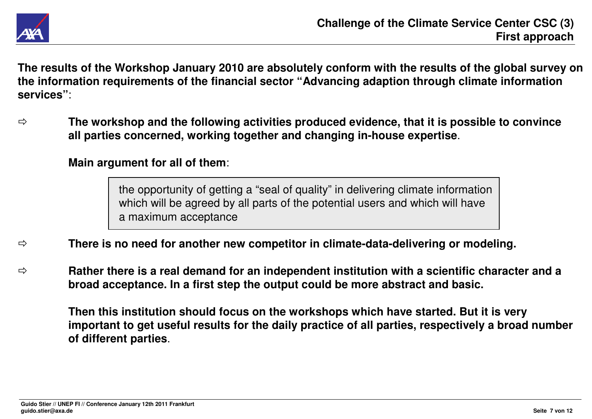

**The results of the Workshop January 2010 are absolutely conform with the results of the global survey on the information requirements of the financial sector "Advancing adaption through climate information services"**:

 $\Rightarrow$  **The workshop and the following activities produced evidence, that it is possible to convince all parties concerned, working together and changing in-house expertise**.

# **Main argument for all of them**:

the opportunity of getting a "seal of quality" in delivering climate informationwhich will be agreed by all parts of the potential users and which will havea maximum acceptance

- $\Rightarrow$ **There is no need for another new competitor in climate-data-delivering or modeling.**
- ⇨ **Rather there is a real demand for an independent institution with a scientific character and a broad acceptance. In a first step the output could be more abstract and basic.**

**Then this institution should focus on the workshops which have started. But it is very important to get useful results for the daily practice of all parties, respectively a broad number of different parties**.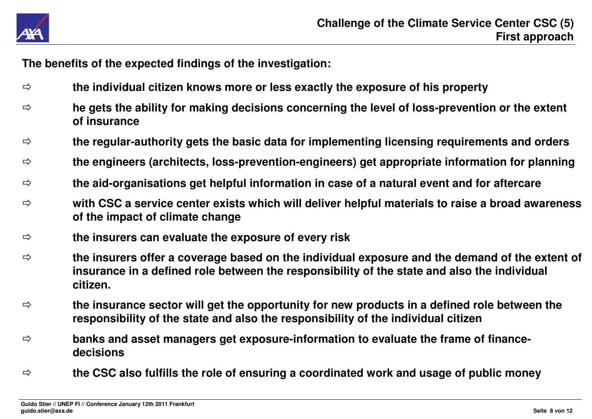

**The benefits of the expected findings of the investigation:**

- $\Rightarrow$ **the individual citizen knows more or less exactly the exposure of his property**
- $\Rightarrow$  **he gets the ability for making decisions concerning the level of loss-prevention or the extent of insurance**
- $\Rightarrow$ **the regular-authority gets the basic data for implementing licensing requirements and orders**
- $\Rightarrow$ **the engineers (architects, loss-prevention-engineers) get appropriate information for planning**
- $\Rightarrow$ **the aid-organisations get helpful information in case of a natural event and for aftercare**
- $\Rightarrow$  **with CSC a service center exists which will deliver helpful materials to raise a broad awareness of the impact of climate change**
- $\Rightarrow$ **the insurers can evaluate the exposure of every risk**
- $\Rightarrow$  **the insurers offer a coverage based on the individual exposure and the demand of the extent of insurance in a defined role between the responsibility of the state and also the individual citizen.**
- $\Rightarrow$  **the insurance sector will get the opportunity for new products in a defined role between the responsibility of the state and also the responsibility of the individual citizen**
- $\Rightarrow$  **banks and asset managers get exposure-information to evaluate the frame of financedecisions**
- $\Rightarrow$ **the CSC also fulfills the role of ensuring a coordinated work and usage of public money**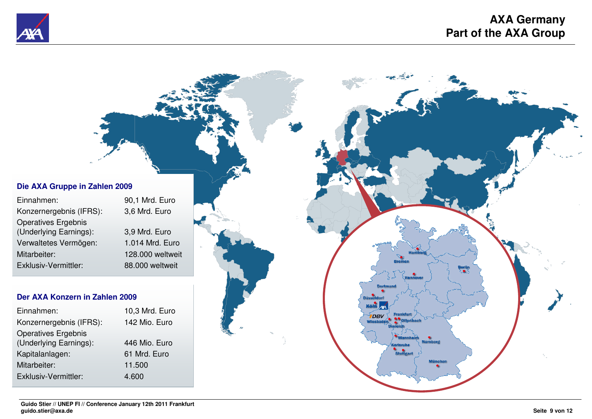



| Einnahmen:                 | 90,1 Mrd. Euro   |
|----------------------------|------------------|
| Konzernergebnis (IFRS):    | 3,6 Mrd. Euro    |
| <b>Operatives Ergebnis</b> |                  |
| (Underlying Earnings):     | 3,9 Mrd. Euro    |
| Verwaltetes Vermögen:      | 1.014 Mrd. Euro  |
| Mitarbeiter:               | 128.000 weltweit |
| Exklusiv-Vermittler:       | 88.000 weltweit  |
|                            |                  |

# **Der AXA Konzern in Zahlen 2009**

| Einnahmen:              | 10,3 Mrd. Euro |
|-------------------------|----------------|
| Konzernergebnis (IFRS): | 142 Mio. Euro  |
| Operatives Ergebnis     |                |
| (Underlying Earnings):  | 446 Mio. Euro  |
| Kapitalanlagen:         | 61 Mrd. Euro   |
| Mitarbeiter:            | 11.500         |
| Exklusiv-Vermittler:    | 4.600          |
|                         |                |

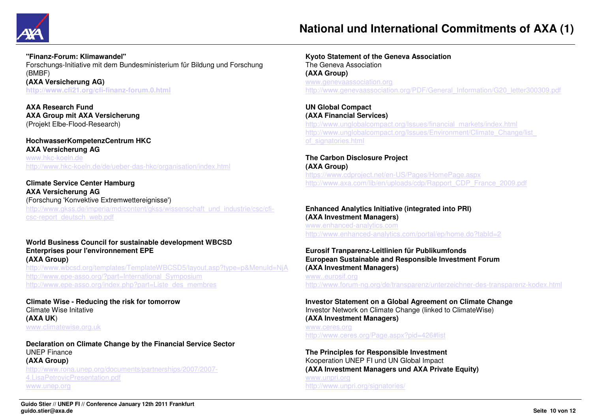

#### **"Finanz-Forum: Klimawandel"**

 Forschungs-Initiative mit dem Bundesministerium für Bildung und Forschung (BMBF) **(AXA Versicherung AG)http://www.cfi21.org/cfi-finanz-forum.0.html**

**AXA Research Fund AXA Group mit AXA Versicherung**(Projekt Elbe-Flood-Research)

# **HochwasserKompetenzCentrum HKCAXA Versicherung AG**www.hkc-koeln.dehttp://www.hkc-koeln.de/de/ueber-das-hkc/organisation/index.html

**Climate Service Center HamburgAXA Versicherung AG** (Forschung 'Konvektive Extremwettereignisse') http://www.gkss.de/imperia/md/content/gkss/wissenschaft\_und\_industrie/csc/cficsc-report\_deutsch\_web.pdf

### **World Business Council for sustainable development WBCSDEnterprises pour l'environnement EPE(AXA Group)**

 http://www.wbcsd.org/templates/TemplateWBCSD5/layout.asp?type=p&MenuId=NjAhttp://www.epe-asso.org/?part=International\_Symposiumhttp://www.epe-asso.org/index.php?part=Liste\_des\_membres

**Climate Wise - Reducing the risk for tomorrow**Climate Wise Initative **(AXA UK**)www.climatewise.org.uk

**Declaration on Climate Change by the Financial Service Sector**UNEP Finance **(AXA Group)** http://www.rona.unep.org/documents/partnerships/2007/2007-4.LisaPetrovicPresentation.pdfwww.unep.org

**Kyoto Statement of the Geneva Association**The Geneva Association**(AXA Group)** www.genevaassociation.orghttp://www.genevaassociation.org/PDF/General\_Information/G20\_letter300309.pdf

# **UN Global Compact**

 **(AXA Financial Services)** http://www.unglobalcompact.org/Issues/financial\_markets/index.htmlhttp://www.unglobalcompact.org/Issues/Environment/Climate\_Change/list\_ of\_signatories.html

### **The Carbon Disclosure Project(AXA Group)**

 https://www.cdproject.net/en-US/Pages/HomePage.aspxhttp://www.axa.com/lib/en/uploads/cdp/Rapport\_CDP\_France\_2009.pdf

## **Enhanced Analytics Initiative (integrated into PRI)(AXA Investment Managers)** www.enhanced-analytics.comhttp://www.enhanced-analytics.com/portal/ep/home.do?tabId=2

# **Eurosif Tranparenz-Leitlinien für Publikumfonds European Sustainable and Responsible Investment Forum(AXA Investment Managers)**

www..eurosif.orghttp://www.forum-ng.org/de/transparenz/unterzeichner-des-transparenz-kodex.html

# **Investor Statement on a Global Agreement on Climate Change**Investor Network on Climate Change (linked to ClimateWise)**(AXA Investment Managers)**www.ceres.org

http://www.ceres.org/Page.aspx?pid=426#list

# **The Principles for Responsible Investment** Kooperation UNEP FI und UN Global Impact **(AXA Investment Managers und AXA Private Equity)**www.unpri.orghttp://www.unpri.org/signatories/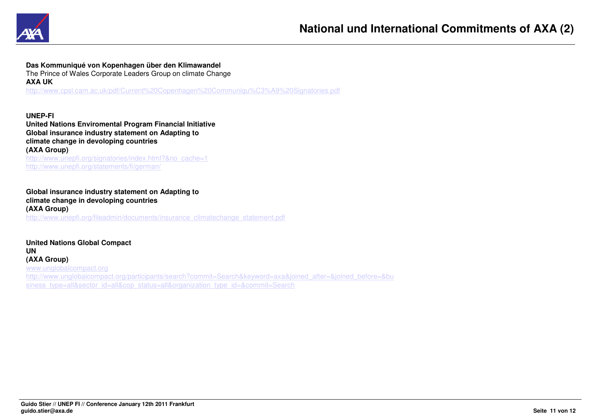

**Das Kommuniqué von Kopenhagen über den Klimawandel**

The Prince of Wales Corporate Leaders Group on climate Change**AXA UK**http://www.cpsl.cam.ac.uk/pdf/Current%20Copenhagen%20Communiqu%C3%A9%20Signatories.pdf

**UNEP-FI United Nations Enviromental Program Financial InitiativeGlobal insurance industry statement on Adapting toclimate change in devoloping countries(AXA Group)**http://www.unepfi.org/signatories/index.html?&no\_cache=1

http://www.unepfi.org/statements/fi/german/

# **Global insurance industry statement on Adapting toclimate change in devoloping countries(AXA Group)**http://www.unepfi.org/fileadmin/documents/insurance\_climatechange\_statement.pdf

**United Nations Global CompactUN (AXA Group)** www.unglobalcompact.org http://www.unglobalcompact.org/participants/search?commit=Search&keyword=axa&joined\_after=&joined\_before=&business\_type=all&sector\_id=all&cop\_status=all&organization\_type\_id=&commit=Search